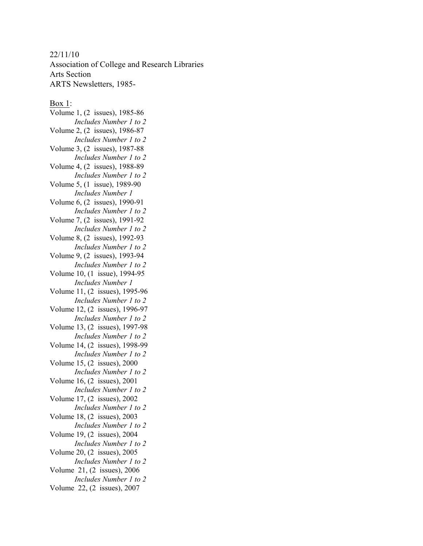## 22/11/10

Association of College and Research Libraries Arts Section ARTS Newsletters, 1985-

## Box 1:

Volume 1, (2 issues), 1985-86 *Includes Number 1 to 2* Volume 2, (2 issues), 1986-87 *Includes Number 1 to 2* Volume 3, (2 issues), 1987-88 *Includes Number 1 to 2* Volume 4, (2 issues), 1988-89 *Includes Number 1 to 2* Volume 5, (1 issue), 1989-90 *Includes Number 1* Volume 6, (2 issues), 1990-91 *Includes Number 1 to 2* Volume 7, (2 issues), 1991-92 *Includes Number 1 to 2* Volume 8, (2 issues), 1992-93 *Includes Number 1 to 2* Volume 9, (2 issues), 1993-94 *Includes Number 1 to 2* Volume 10, (1 issue), 1994-95 *Includes Number 1* Volume 11, (2 issues), 1995-96 *Includes Number 1 to 2* Volume 12, (2 issues), 1996-97 *Includes Number 1 to 2* Volume 13, (2 issues), 1997-98 *Includes Number 1 to 2* Volume 14, (2 issues), 1998-99 *Includes Number 1 to 2* Volume 15, (2 issues), 2000 *Includes Number 1 to 2* Volume 16, (2 issues), 2001 *Includes Number 1 to 2* Volume 17, (2 issues), 2002 *Includes Number 1 to 2* Volume 18, (2 issues), 2003 *Includes Number 1 to 2* Volume 19, (2 issues), 2004 *Includes Number 1 to 2* Volume 20, (2 issues), 2005 *Includes Number 1 to 2* Volume 21, (2 issues), 2006 *Includes Number 1 to 2* Volume 22, (2 issues), 2007